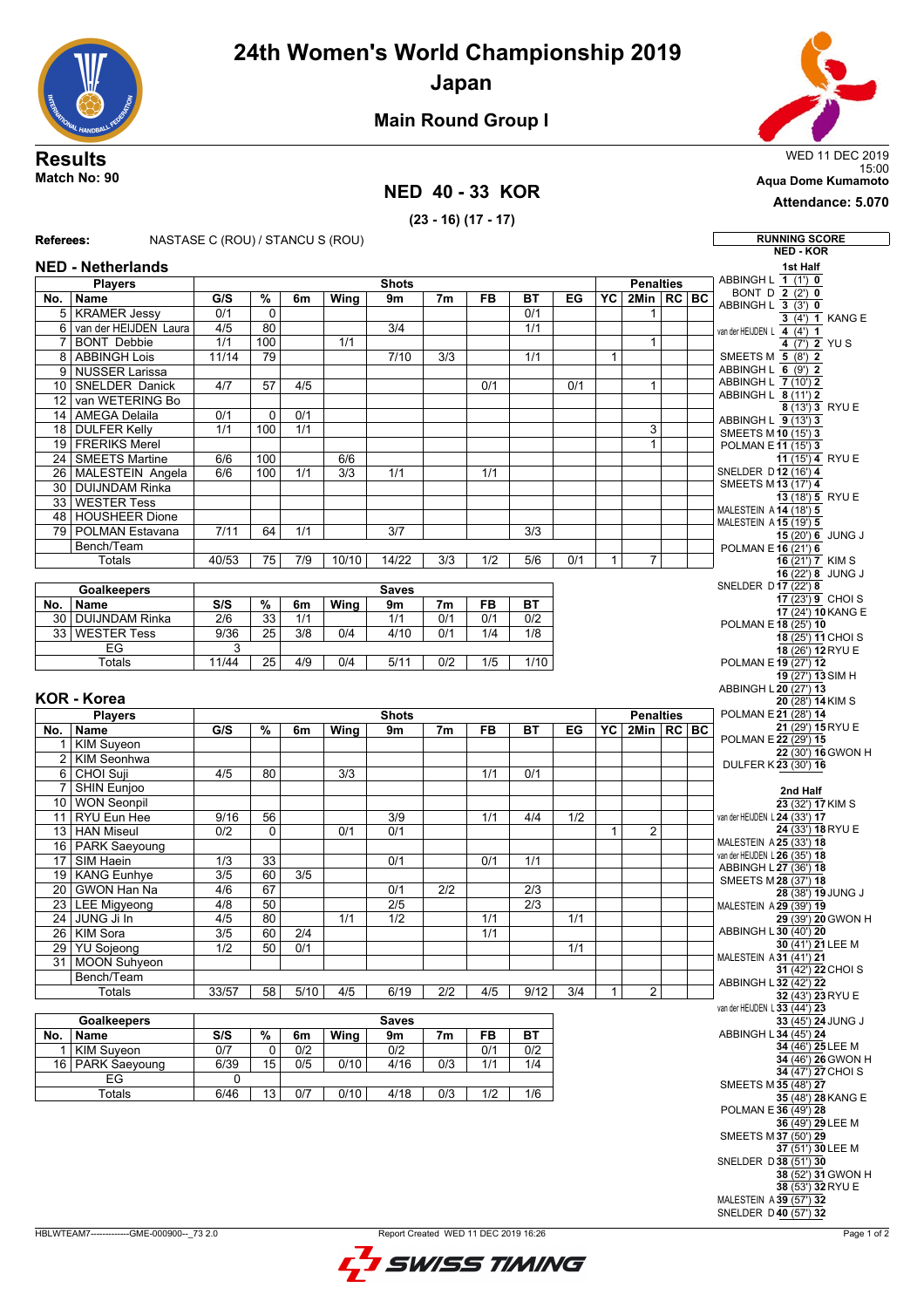# **24th Women's World Championship 2019**

**Japan**



### **Main Round Group I**

#### **NED 40 - 33 KOR**

**(23 - 16) (17 - 17)**

15:00 **Match No: 90 Aqua Dome Kumamoto**

**Attendance: 5.070**

#### **Referees:** NASTASE C (ROU) / STANCU S (ROU) **RUNNING SCORE NED - KOR NED - Netherlands Players No. Name Shots G/S % 6m Wing 9m 7m FB BT EG Penalties YC 2Min RC BC** 5 KRAMER Jessy 0/1 0 0/1 1 6 van der HEIJDEN Laura 4/5 80 3/4 3/4 1/1 7 BONT Debbie | 1/1 | 100 | 1/1 | | | | | | | | | | 1 8 ABBINGH Lois 11/14 79 7/10 3/3 1/1 1 9 NUSSER Larissa 10 SNELDER Danick 4/7 57 4/5 0/1 0/1 1 12 van WETERING Bo 14 AMEGA Delaila 0/1 0 0/1 18 DULFER Kelly 1/1 100 1/1 3 19 FRERIKS Merel 1 and 1 and 1 and 1 and 1 and 1 and 1 and 1 and 1 and 1 and 1 and 1 and 1 and 1 and 1 and 1 and 1 and 1 and 1 and 1 and 1 and 1 and 1 and 1 and 1 and 1 and 1 and 1 and 1 and 1 and 1 and 1 and 1 and 1 and 1 24 SMEETS Martine 6/6 100 6/6 26 MALESTEIN Angela 6/6 100 1/1 3/3 1/1 1/1 30 DUIJNDAM Rinka 33 WESTER Tess 48 HOUSHEER Dione 79 POLMAN Estavana 7/11 64 1/1 3/7 3/3 Bench/Team Totals 40/53 75 7/9 10/10 14/22 3/3 1/2 5/6 0/1 1 7 **Goalkeepers No. Name Saves S/S % 6m Wing 9m 7m FB BT** 30 DUIJNDAM Rinka 2/6 33 1/1 1/1 0/1 0/1 0/2 33 WESTER Tess 9/36 25 3/8 0/4 4/10 0/1 1/4 1/8 EG 3 Totals 11/44 25 4/9 0/4 5/11 0/2 1/5 1/10 **KOR - Korea Players No. Name Shots G/S % 6m Wing 9m 7m FB BT EG Penalties YC 2Min RC BC** 1 KIM Suyeon<br>2 KIM Seonhw KIM Seonhwa 6 CHOI Suji 4/5 80 3/3 1/1 0/1 **SHIN Eunjoo** 10 WON Seonpil 11 RYU Eun Hee 9/16 56 3/9 1/1 4/4 1/2 13 HAN Miseul 0/2 0 0/1 0/1 1 1 2 16 PARK Saeyoung 17 SIM Haein 1/3 33 0 0/1 0/1 1/1 19 KANG Eunhye 3/5 60 3/5<br>20 GWON Han Na 4/6 67 20 GWON Han Na 4/6 67 0/1 2/2 2/3 23 LEE Migyeong 4/8 50 2/5 2/3 24 JUNG Ji In | 4/5 | 80 | 1/1 | 1/2 | 1/1 | 1/1 | 1/1 26 KIM Sora 3/5 60 2/4 1/1 29 YU Sojeong 1/2 50 0/1 | | | | | 1/1 31 MOON Suhyeon Bench/Team Totals | 33/57 | 58 | 5/10 | 4/5 | 6/19 | 2/2 | 4/5 | 9/12 | 3/4 | 1 | 2 **Goalkeepers No. Name Saves S/S % 6m Wing 9m 7m FB BT** 1 KIM Suyeon 0/7 0 0/2 0/2 0/1 0/2 16 PARK Saeyoung 6/39 15  $E$ G 0 Totals 6/46 13 0/7 0/10 4/18 0/3 1/2 1/6 **1st Half** ABBINGH L **1** (1') **0** BONT D **2** (2') **0** ABBINGH L **3** (3') **0**  $\overline{3(4)}$  **1** KANG E van der HEIJDEN L  $\overline{4 \ (4') \ 1}$ **4** (7') **2**YU S SMEETS M **5** (8') **2** ABBINGH L **6** (9') **2** ABBINGH L **7** (10') **2** ABBINGH L **8** (11') **2**  $8(13')3$  RYU F ABBINGH L **9** (13') **3** SMEETS M **10** (15') **3** POLMAN E**11** (15') **3 11** (15') **4** RYU E SNELDER D **12** (16') **4** SMEETS M **13** (17') **4 13** (18') **5** RYU E MALESTEIN A **14** (18') **5** MALESTEIN A **15** (19') **5 15** (20') **6** JUNG J POLMAN E**16** (21') **6 16** (21') **7** KIM S **16** (22') **8** JUNG J SNELDER D **17** (22') **8 17** (23') **9** CHOI S **17** (24') **10**KANG E POLMAN E**18** (25') **10 18** (25') **11** CHOI S **18** (26') **12** RYU E POLMAN E**19** (27') **12 19** (27') **13**SIM H ABBINGH L **20** (27') **13 20** (28') **14**KIM S POLMAN E**21** (28') **14 21** (29') **15** RYU E POLMAN E**22** (29') **15 22** (30') **16**GWON H DULFER K**23** (30') **16 2nd Half 23** (32') **17**KIM S van der HEIJDEN L **24** (33') **17 24** (33') **18** RYU E MALESTEIN A **25** (33') **18** van der HEIJDEN L **26** (35') **18** ABBINGH L **27** (36') **18** SMEETS M **28** (37') **18 28** (38') **19** JUNG J MALESTEIN A **29** (39') **19 29** (39') **20**GWON H ABBINGH L **30** (40') **20 30** (41') **21** LEE M MALESTEIN A **31** (41') **21 31** (42') **22** CHOI S ABBINGH L **32** (42') **22 32** (43') **23** RYU E van der HEIJDEN L **33** (44') **23 33** (45') **24** JUNG J ABBINGH L **34** (45') **24 34** (46') **25** LEE M **34** (46') **26**GWON H **34** (47') **27** CHOI S SMEETS M **35** (48') **27 35** (48') **28**KANG E POLMAN E**36** (49') **28 36** (49') **29** LEE M SMEETS M **37** (50') **29 37** (51') **30** LEE M SNELDER D **38** (51') **30 38** (52') **31**GWON H **38** (53') **32** RYU E MALESTEIN A **39** (57') **32**

SNELDER D **40** (57') **32**